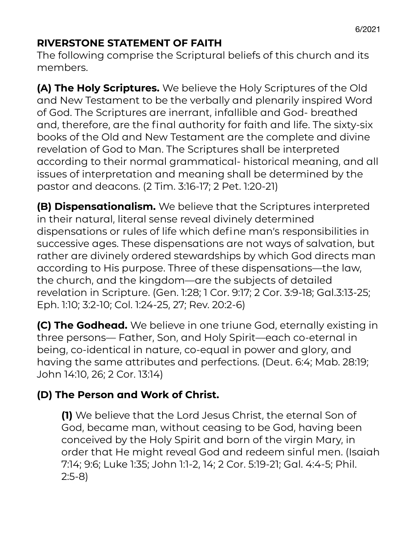#### **RIVERSTONE STATEMENT OF FAITH**

The following comprise the Scriptural beliefs of this church and its members.

**(A) The Holy Scriptures.** We believe the Holy Scriptures of the Old and New Testament to be the verbally and plenarily inspired Word of God. The Scriptures are inerrant, infallible and God- breathed and, therefore, are the final authority for faith and life. The sixty-six books of the Old and New Testament are the complete and divine revelation of God to Man. The Scriptures shall be interpreted according to their normal grammatical- historical meaning, and all issues of interpretation and meaning shall be determined by the pastor and deacons. (2 Tim. 3:16-17; 2 Pet. 1:20-21)

**(B) Dispensationalism.** We believe that the Scriptures interpreted in their natural, literal sense reveal divinely determined dispensations or rules of life which define man's responsibilities in successive ages. These dispensations are not ways of salvation, but rather are divinely ordered stewardships by which God directs man according to His purpose. Three of these dispensations—the law, the church, and the kingdom—are the subjects of detailed revelation in Scripture. (Gen. 1:28; 1 Cor. 9:17; 2 Cor. 3:9-18; Gal.3:13-25; Eph. 1:10; 3:2-10; Col. 1:24-25, 27; Rev. 20:2-6)

**(C) The Godhead.** We believe in one triune God, eternally existing in three persons— Father, Son, and Holy Spirit—each co-eternal in being, co-identical in nature, co-equal in power and glory, and having the same attributes and perfections. (Deut. 6:4; Mab. 28:19; John 14:10, 26; 2 Cor. 13:14)

# **(D) The Person and Work of Christ.**

**(1)** We believe that the Lord Jesus Christ, the eternal Son of God, became man, without ceasing to be God, having been conceived by the Holy Spirit and born of the virgin Mary, in order that He might reveal God and redeem sinful men. (Isaiah 7:14; 9:6; Luke 1:35; John 1:1-2, 14; 2 Cor. 5:19-21; Gal. 4:4-5; Phil. 2:5-8)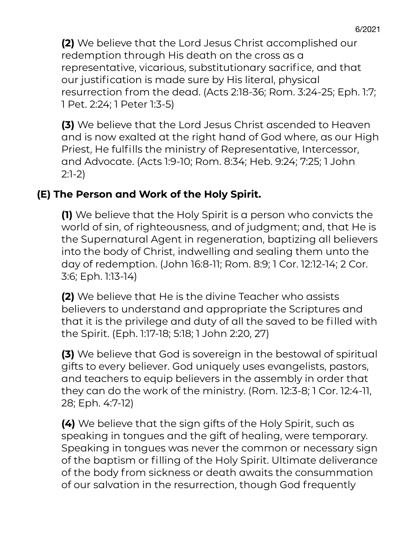**(2)** We believe that the Lord Jesus Christ accomplished our redemption through His death on the cross as a representative, vicarious, substitutionary sacrifice, and that our justification is made sure by His literal, physical resurrection from the dead. (Acts 2:18-36; Rom. 3:24-25; Eph. 1:7; 1 Pet. 2:24; 1 Peter 1:3-5)

**(3)** We believe that the Lord Jesus Christ ascended to Heaven and is now exalted at the right hand of God where, as our High Priest, He fulfills the ministry of Representative, Intercessor, and Advocate. (Acts 1:9-10; Rom. 8:34; Heb. 9:24; 7:25; 1 John 2:1-2)

#### **(E) The Person and Work of the Holy Spirit.**

**(1)** We believe that the Holy Spirit is a person who convicts the world of sin, of righteousness, and of judgment; and, that He is the Supernatural Agent in regeneration, baptizing all believers into the body of Christ, indwelling and sealing them unto the day of redemption. (John 16:8-11; Rom. 8:9; 1 Cor. 12:12-14; 2 Cor. 3:6; Eph. 1:13-14)

**(2)** We believe that He is the divine Teacher who assists believers to understand and appropriate the Scriptures and that it is the privilege and duty of all the saved to be filled with the Spirit. (Eph. 1:17-18; 5:18; 1 John 2:20, 27)

**(3)** We believe that God is sovereign in the bestowal of spiritual gifts to every believer. God uniquely uses evangelists, pastors, and teachers to equip believers in the assembly in order that they can do the work of the ministry. (Rom. 12:3-8; 1 Cor. 12:4-11, 28; Eph. 4:7-12)

**(4)** We believe that the sign gifts of the Holy Spirit, such as speaking in tongues and the gift of healing, were temporary. Speaking in tongues was never the common or necessary sign of the baptism or filling of the Holy Spirit. Ultimate deliverance of the body from sickness or death awaits the consummation of our salvation in the resurrection, though God frequently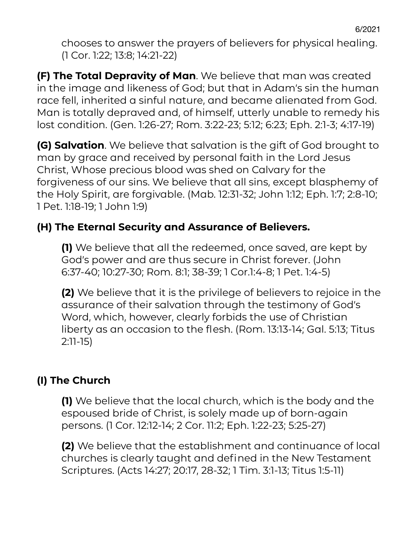chooses to answer the prayers of believers for physical healing. (1 Cor. 1:22; 13:8; 14:21-22)

**(F) The Total Depravity of Man**. We believe that man was created in the image and likeness of God; but that in Adam's sin the human race fell, inherited a sinful nature, and became alienated from God. Man is totally depraved and, of himself, utterly unable to remedy his lost condition. (Gen. 1:26-27; Rom. 3:22-23; 5:12; 6:23; Eph. 2:1-3; 4:17-19)

**(G) Salvation**. We believe that salvation is the gift of God brought to man by grace and received by personal faith in the Lord Jesus Christ, Whose precious blood was shed on Calvary for the forgiveness of our sins. We believe that all sins, except blasphemy of the Holy Spirit, are forgivable. (Mab. 12:31-32; John 1:12; Eph. 1:7; 2:8-10; 1 Pet. 1:18-19; 1 John 1:9)

# **(H) The Eternal Security and Assurance of Believers.**

**(1)** We believe that all the redeemed, once saved, are kept by God's power and are thus secure in Christ forever. (John 6:37-40; 10:27-30; Rom. 8:1; 38-39; 1 Cor.1:4-8; 1 Pet. 1:4-5)

**(2)** We believe that it is the privilege of believers to rejoice in the assurance of their salvation through the testimony of God's Word, which, however, clearly forbids the use of Christian liberty as an occasion to the flesh. (Rom. 13:13-14; Gal. 5:13; Titus 2:11-15)

# **(I) The Church**

**(1)** We believe that the local church, which is the body and the espoused bride of Christ, is solely made up of born-again persons. (1 Cor. 12:12-14; 2 Cor. 11:2; Eph. 1:22-23; 5:25-27)

**(2)** We believe that the establishment and continuance of local churches is clearly taught and defined in the New Testament Scriptures. (Acts 14:27; 20:17, 28-32; 1 Tim. 3:1-13; Titus 1:5-11)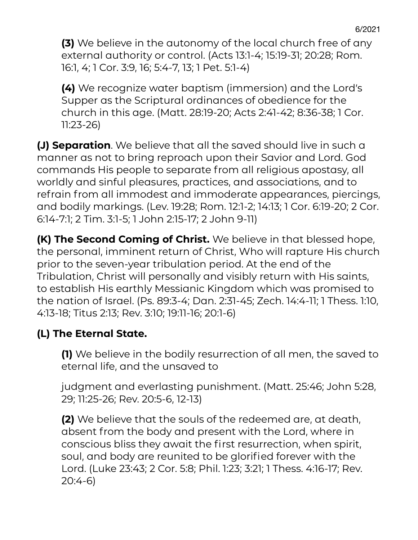**(3)** We believe in the autonomy of the local church free of any external authority or control. (Acts 13:1-4; 15:19-31; 20:28; Rom. 16:1, 4; 1 Cor. 3:9, 16; 5:4-7, 13; 1 Pet. 5:1-4)

**(4)** We recognize water baptism (immersion) and the Lord's Supper as the Scriptural ordinances of obedience for the church in this age. (Matt. 28:19-20; Acts 2:41-42; 8:36-38; 1 Cor. 11:23-26)

**(J) Separation**. We believe that all the saved should live in such a manner as not to bring reproach upon their Savior and Lord. God commands His people to separate from all religious apostasy, all worldly and sinful pleasures, practices, and associations, and to refrain from all immodest and immoderate appearances, piercings, and bodily markings. (Lev. 19:28; Rom. 12:1-2; 14:13; 1 Cor. 6:19-20; 2 Cor. 6:14-7:1; 2 Tim. 3:1-5; 1 John 2:15-17; 2 John 9-11)

**(K) The Second Coming of Christ.** We believe in that blessed hope, the personal, imminent return of Christ, Who will rapture His church prior to the seven-year tribulation period. At the end of the Tribulation, Christ will personally and visibly return with His saints, to establish His earthly Messianic Kingdom which was promised to the nation of Israel. (Ps. 89:3-4; Dan. 2:31-45; Zech. 14:4-11; 1 Thess. 1:10, 4:13-18; Titus 2:13; Rev. 3:10; 19:11-16; 20:1-6)

#### **(L) The Eternal State.**

**(1)** We believe in the bodily resurrection of all men, the saved to eternal life, and the unsaved to

judgment and everlasting punishment. (Matt. 25:46; John 5:28, 29; 11:25-26; Rev. 20:5-6, 12-13)

**(2)** We believe that the souls of the redeemed are, at death, absent from the body and present with the Lord, where in conscious bliss they await the first resurrection, when spirit, soul, and body are reunited to be glorified forever with the Lord. (Luke 23:43; 2 Cor. 5:8; Phil. 1:23; 3:21; 1 Thess. 4:16-17; Rev. 20:4-6)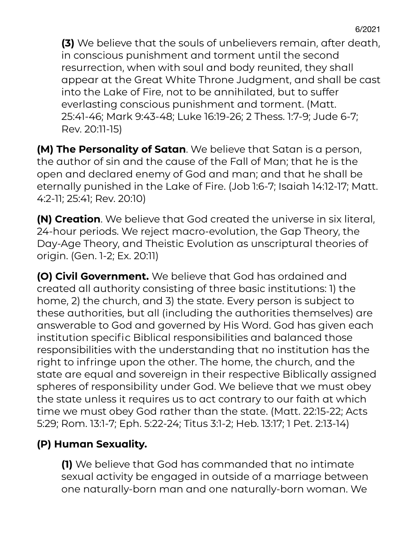**(3)** We believe that the souls of unbelievers remain, after death, in conscious punishment and torment until the second resurrection, when with soul and body reunited, they shall appear at the Great White Throne Judgment, and shall be cast into the Lake of Fire, not to be annihilated, but to suffer everlasting conscious punishment and torment. (Matt. 25:41-46; Mark 9:43-48; Luke 16:19-26; 2 Thess. 1:7-9; Jude 6-7; Rev. 20:11-15)

**(M) The Personality of Satan**. We believe that Satan is a person, the author of sin and the cause of the Fall of Man; that he is the open and declared enemy of God and man; and that he shall be eternally punished in the Lake of Fire. (Job 1:6-7; Isaiah 14:12-17; Matt. 4:2-11; 25:41; Rev. 20:10)

**(N) Creation**. We believe that God created the universe in six literal, 24-hour periods. We reject macro-evolution, the Gap Theory, the Day-Age Theory, and Theistic Evolution as unscriptural theories of origin. (Gen. 1-2; Ex. 20:11)

**(O) Civil Government.** We believe that God has ordained and created all authority consisting of three basic institutions: 1) the home, 2) the church, and 3) the state. Every person is subject to these authorities, but all (including the authorities themselves) are answerable to God and governed by His Word. God has given each institution specific Biblical responsibilities and balanced those responsibilities with the understanding that no institution has the right to infringe upon the other. The home, the church, and the state are equal and sovereign in their respective Biblically assigned spheres of responsibility under God. We believe that we must obey the state unless it requires us to act contrary to our faith at which time we must obey God rather than the state. (Matt. 22:15-22; Acts 5:29; Rom. 13:1-7; Eph. 5:22-24; Titus 3:1-2; Heb. 13:17; 1 Pet. 2:13-14)

# **(P) Human Sexuality.**

**(1)** We believe that God has commanded that no intimate sexual activity be engaged in outside of a marriage between one naturally-born man and one naturally-born woman. We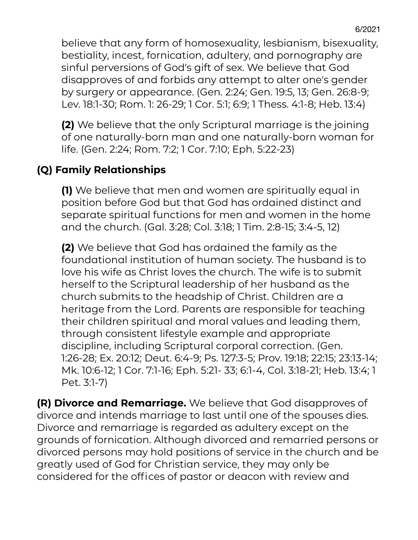believe that any form of homosexuality, lesbianism, bisexuality, bestiality, incest, fornication, adultery, and pornography are sinful perversions of God's gift of sex. We believe that God disapproves of and forbids any attempt to alter one's gender by surgery or appearance. (Gen. 2:24; Gen. 19:5, 13; Gen. 26:8-9; Lev. 18:1-30; Rom. 1: 26-29; 1 Cor. 5:1; 6:9; 1 Thess. 4:1-8; Heb. 13:4)

**(2)** We believe that the only Scriptural marriage is the joining of one naturally-born man and one naturally-born woman for life. (Gen. 2:24; Rom. 7:2; 1 Cor. 7:10; Eph. 5:22-23)

#### **(Q) Family Relationships**

**(1)** We believe that men and women are spiritually equal in position before God but that God has ordained distinct and separate spiritual functions for men and women in the home and the church. (Gal. 3:28; Col. 3:18; 1 Tim. 2:8-15; 3:4-5, 12)

**(2)** We believe that God has ordained the family as the foundational institution of human society. The husband is to love his wife as Christ loves the church. The wife is to submit herself to the Scriptural leadership of her husband as the church submits to the headship of Christ. Children are a heritage from the Lord. Parents are responsible for teaching their children spiritual and moral values and leading them, through consistent lifestyle example and appropriate discipline, including Scriptural corporal correction. (Gen. 1:26-28; Ex. 20:12; Deut. 6:4-9; Ps. 127:3-5; Prov. 19:18; 22:15; 23:13-14; Mk. 10:6-12; 1 Cor. 7:1-16; Eph. 5:21- 33; 6:1-4, Col. 3:18-21; Heb. 13:4; 1 Pet. 3:1-7)

**(R) Divorce and Remarriage.** We believe that God disapproves of divorce and intends marriage to last until one of the spouses dies. Divorce and remarriage is regarded as adultery except on the grounds of fornication. Although divorced and remarried persons or divorced persons may hold positions of service in the church and be greatly used of God for Christian service, they may only be considered for the offices of pastor or deacon with review and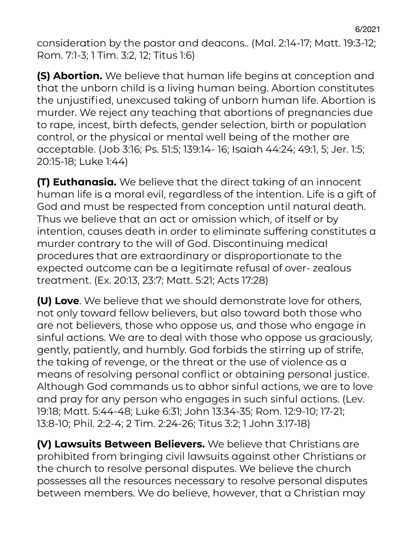consideration by the pastor and deacons.. (Mal. 2:14-17; Matt. 19:3-12; Rom. 7:1-3; 1 Tim. 3:2, 12; Titus 1:6)

**(S) Abortion.** We believe that human life begins at conception and that the unborn child is a living human being. Abortion constitutes the unjustified, unexcused taking of unborn human life. Abortion is murder. We reject any teaching that abortions of pregnancies due to rape, incest, birth defects, gender selection, birth or population control, or the physical or mental well being of the mother are acceptable. (Job 3:16; Ps. 51:5; 139:14- 16; Isaiah 44:24; 49:1, 5; Jer. 1:5; 20:15-18; Luke 1:44)

**(T) Euthanasia.** We believe that the direct taking of an innocent human life is a moral evil, regardless of the intention. Life is a gift of God and must be respected from conception until natural death. Thus we believe that an act or omission which, of itself or by intention, causes death in order to eliminate suffering constitutes a murder contrary to the will of God. Discontinuing medical procedures that are extraordinary or disproportionate to the expected outcome can be a legitimate refusal of over- zealous treatment. (Ex. 20:13, 23:7; Matt. 5:21; Acts 17:28)

**(U) Love**. We believe that we should demonstrate love for others, not only toward fellow believers, but also toward both those who are not believers, those who oppose us, and those who engage in sinful actions. We are to deal with those who oppose us graciously, gently, patiently, and humbly. God forbids the stirring up of strife, the taking of revenge, or the threat or the use of violence as a means of resolving personal conflict or obtaining personal justice. Although God commands us to abhor sinful actions, we are to love and pray for any person who engages in such sinful actions. (Lev. 19:18; Matt. 5:44-48; Luke 6:31; John 13:34-35; Rom. 12:9-10; 17-21; 13:8-10; Phil. 2:2-4; 2 Tim. 2:24-26; Titus 3:2; 1 John 3:17-18)

**(V) Lawsuits Between Believers.** We believe that Christians are prohibited from bringing civil lawsuits against other Christians or the church to resolve personal disputes. We believe the church possesses all the resources necessary to resolve personal disputes between members. We do believe, however, that a Christian may